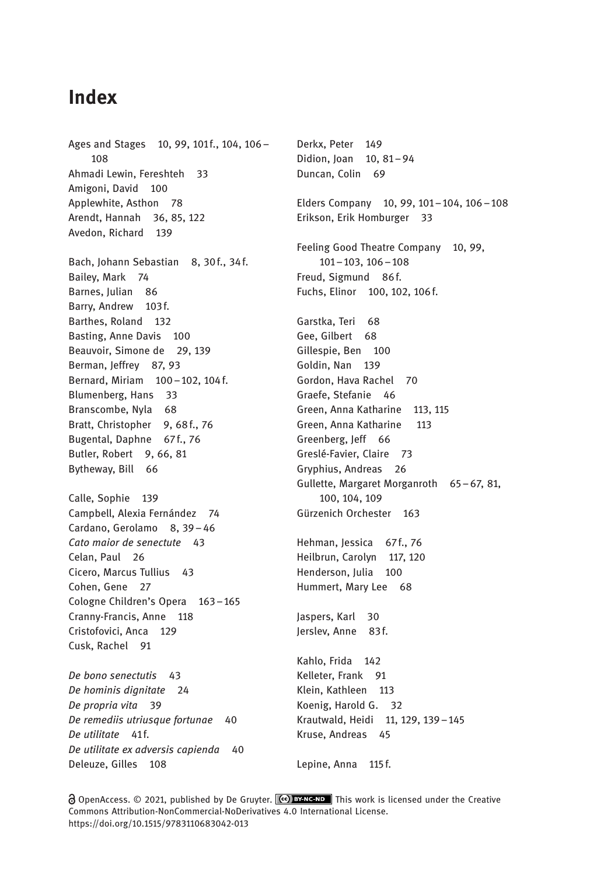## Index

Ages and Stages 10, 99, 101f., 104, 106 -108 Ahmadi Lewin, Fereshteh 33 Amigoni, David 100 Applewhite, Asthon 78 Arendt, Hannah 36, 85, 122 Avedon, Richard 139 Bach, Johann Sebastian 8, 30f., 34f. Bailey, Mark 74 Barnes, Julian 86 Barry, Andrew 103f. Barthes, Roland 132 Basting, Anne Davis 100 Beauvoir, Simone de 29, 139 Berman, Jeffrey 87, 93 Bernard, Miriam 100–102, 104 f. Blumenberg, Hans 33 Branscombe, Nyla 68 Bratt, Christopher 9, 68f., 76 Bugental, Daphne 67f., 76 Butler, Robert 9, 66, 81 Bytheway, Bill 66 Calle, Sophie 139 Campbell, Alexia Fernández 74 Cardano, Gerolamo 8, 39-46 Cato maior de senectute 43 Celan, Paul 26 Cicero, Marcus Tullius 43 Cohen, Gene 27 Cologne Children's Opera 163–165 Cranny-Francis, Anne 118 Cristofovici, Anca 129 Cusk, Rachel 91

De bono senectutis 43 De hominis dignitate 24 De propria vita 39 De remediis utriusque fortunae 40 De utilitate 41f. De utilitate ex adversis capienda 40 Deleuze, Gilles 108

Derkx, Peter 149 Didion, Joan 10, 81–94 Duncan, Colin 69 Elders Company 10, 99, 101–104, 106–108 Erikson, Erik Homburger 33 Feeling Good Theatre Company 10, 99, 101–103, 106–108 Freud, Sigmund 86f. Fuchs, Elinor 100, 102, 106f. Garstka, Teri 68 Gee, Gilbert 68 Gillespie, Ben 100 Goldin, Nan 139 Gordon, Hava Rachel 70 Graefe, Stefanie 46 Green, Anna Katharine 113, 115 Green, Anna Katharine 113 Greenberg, Jeff 66 Greslé-Favier, Claire 73 Gryphius, Andreas 26 Gullette, Margaret Morganroth 65–67, 81, 100, 104, 109 Gürzenich Orchester 163 Hehman, Jessica 67f., 76 Heilbrun, Carolyn 117, 120 Henderson, Julia 100 Hummert, Mary Lee 68 Jaspers, Karl 30 Jerslev, Anne 83f. Kahlo, Frida 142 Kelleter, Frank 91 Klein, Kathleen 113 Koenig, Harold G. 32 Krautwald, Heidi 11, 129, 139–145 Kruse, Andreas 45 Lepine, Anna 115 f.

 $\partial$  OpenAccess.  $\odot$  2021, published by De Gruyter.  $\circled{ce}$  **EY-NC-ND** This work is licensed under the Creative Commons Attribution-NonCommercial-NoDerivatives 4.0 International License. https://doi.org/10.1515/9783110683042-013